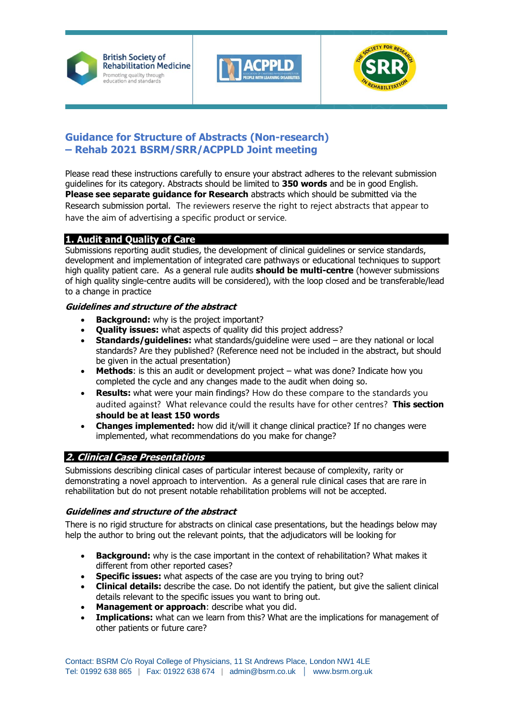





# **Guidance for Structure of Abstracts (Non-research) – Rehab 2021 BSRM/SRR/ACPPLD Joint meeting**

Please read these instructions carefully to ensure your abstract adheres to the relevant submission guidelines for its category. Abstracts should be limited to **350 words** and be in good English. **Please see separate guidance for Research** abstracts which should be submitted via the Research submission portal. The reviewers reserve the right to reject abstracts that appear to have the aim of advertising a specific product or service.

## **1. Audit and Quality of Care**

Submissions reporting audit studies, the development of clinical guidelines or service standards, development and implementation of integrated care pathways or educational techniques to support high quality patient care. As a general rule audits **should be multi-centre** (however submissions of high quality single-centre audits will be considered), with the loop closed and be transferable/lead to a change in practice

### **Guidelines and structure of the abstract**

- **Background:** why is the project important?
- **Quality issues:** what aspects of quality did this project address?
- **Standards/guidelines:** what standards/guideline were used are they national or local standards? Are they published? (Reference need not be included in the abstract, but should be given in the actual presentation)
- **Methods**: is this an audit or development project what was done? Indicate how you completed the cycle and any changes made to the audit when doing so.
- **Results:** what were your main findings? How do these compare to the standards you audited against? What relevance could the results have for other centres? **This section should be at least 150 words**
- **Changes implemented:** how did it/will it change clinical practice? If no changes were implemented, what recommendations do you make for change?

## **2. Clinical Case Presentations**

Submissions describing clinical cases of particular interest because of complexity, rarity or demonstrating a novel approach to intervention. As a general rule clinical cases that are rare in rehabilitation but do not present notable rehabilitation problems will not be accepted.

#### **Guidelines and structure of the abstract**

There is no rigid structure for abstracts on clinical case presentations, but the headings below may help the author to bring out the relevant points, that the adjudicators will be looking for

- **Background:** why is the case important in the context of rehabilitation? What makes it different from other reported cases?
- **Specific issues:** what aspects of the case are you trying to bring out?
- **Clinical details:** describe the case. Do not identify the patient, but give the salient clinical details relevant to the specific issues you want to bring out.
- **Management or approach**: describe what you did.
- **Implications:** what can we learn from this? What are the implications for management of other patients or future care?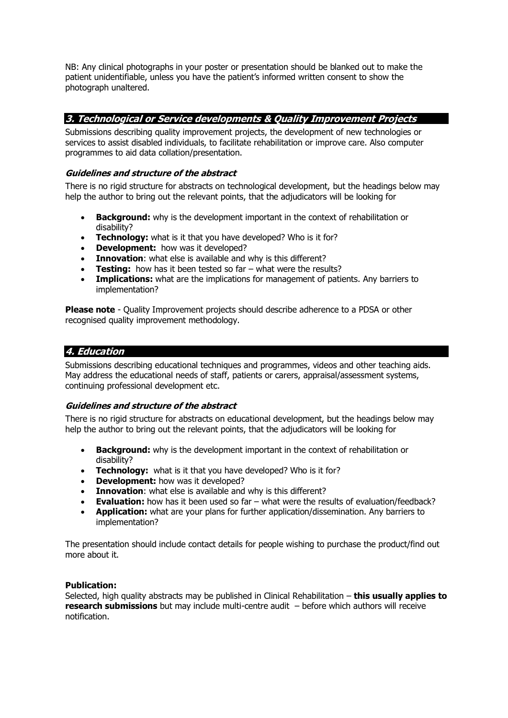NB: Any clinical photographs in your poster or presentation should be blanked out to make the patient unidentifiable, unless you have the patient's informed written consent to show the photograph unaltered.

## **3. Technological or Service developments & Quality Improvement Projects**

Submissions describing quality improvement projects, the development of new technologies or services to assist disabled individuals, to facilitate rehabilitation or improve care. Also computer programmes to aid data collation/presentation.

### **Guidelines and structure of the abstract**

There is no rigid structure for abstracts on technological development, but the headings below may help the author to bring out the relevant points, that the adjudicators will be looking for

- **Background:** why is the development important in the context of rehabilitation or disability?
- **Technology:** what is it that you have developed? Who is it for?
- **Development:** how was it developed?
- **Innovation:** what else is available and why is this different?
- **Testing:** how has it been tested so far what were the results?
- **Implications:** what are the implications for management of patients. Any barriers to implementation?

**Please note** - Quality Improvement projects should describe adherence to a PDSA or other recognised quality improvement methodology.

## **4. Education**

Submissions describing educational techniques and programmes, videos and other teaching aids. May address the educational needs of staff, patients or carers, appraisal/assessment systems, continuing professional development etc.

#### **Guidelines and structure of the abstract**

There is no rigid structure for abstracts on educational development, but the headings below may help the author to bring out the relevant points, that the adjudicators will be looking for

- **Background:** why is the development important in the context of rehabilitation or disability?
- **Technology:** what is it that you have developed? Who is it for?
- **Development:** how was it developed?
- **Innovation:** what else is available and why is this different?
- **Evaluation:** how has it been used so far what were the results of evaluation/feedback?
- **Application:** what are your plans for further application/dissemination. Any barriers to implementation?

The presentation should include contact details for people wishing to purchase the product/find out more about it.

#### **Publication:**

Selected, high quality abstracts may be published in Clinical Rehabilitation – **this usually applies to research submissions** but may include multi-centre audit – before which authors will receive notification.